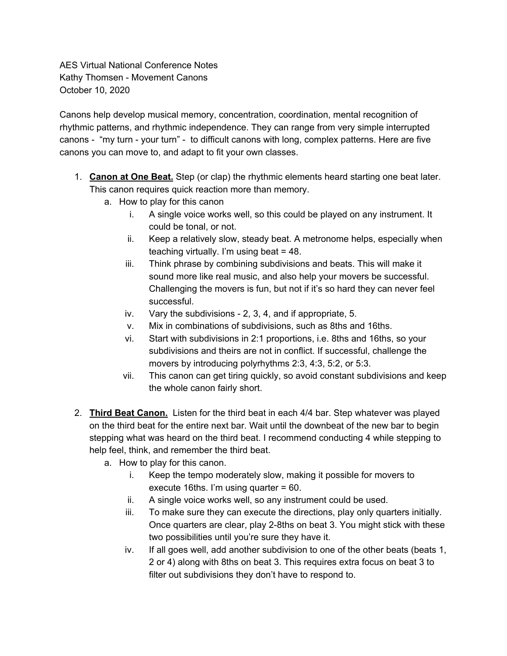AES Virtual National Conference Notes Kathy Thomsen - Movement Canons October 10, 2020

Canons help develop musical memory, concentration, coordination, mental recognition of rhythmic patterns, and rhythmic independence. They can range from very simple interrupted canons - "my turn - your turn" - to difficult canons with long, complex patterns. Here are five canons you can move to, and adapt to fit your own classes.

- 1. **Canon at One Beat.** Step (or clap) the rhythmic elements heard starting one beat later. This canon requires quick reaction more than memory.
	- a. How to play for this canon
		- i. A single voice works well, so this could be played on any instrument. It could be tonal, or not.
		- ii. Keep a relatively slow, steady beat. A metronome helps, especially when teaching virtually. I'm using beat = 48.
		- iii. Think phrase by combining subdivisions and beats. This will make it sound more like real music, and also help your movers be successful. Challenging the movers is fun, but not if it's so hard they can never feel successful.
		- iv. Vary the subdivisions 2, 3, 4, and if appropriate, 5.
		- v. Mix in combinations of subdivisions, such as 8ths and 16ths.
		- vi. Start with subdivisions in 2:1 proportions, i.e. 8ths and 16ths, so your subdivisions and theirs are not in conflict. If successful, challenge the movers by introducing polyrhythms 2:3, 4:3, 5:2, or 5:3.
		- vii. This canon can get tiring quickly, so avoid constant subdivisions and keep the whole canon fairly short.
- 2. **Third Beat Canon.** Listen for the third beat in each 4/4 bar. Step whatever was played on the third beat for the entire next bar. Wait until the downbeat of the new bar to begin stepping what was heard on the third beat. I recommend conducting 4 while stepping to help feel, think, and remember the third beat.
	- a. How to play for this canon.
		- i. Keep the tempo moderately slow, making it possible for movers to execute 16ths. I'm using quarter = 60.
		- ii. A single voice works well, so any instrument could be used.
		- iii. To make sure they can execute the directions, play only quarters initially. Once quarters are clear, play 2-8ths on beat 3. You might stick with these two possibilities until you're sure they have it.
		- iv. If all goes well, add another subdivision to one of the other beats (beats 1, 2 or 4) along with 8ths on beat 3. This requires extra focus on beat 3 to filter out subdivisions they don't have to respond to.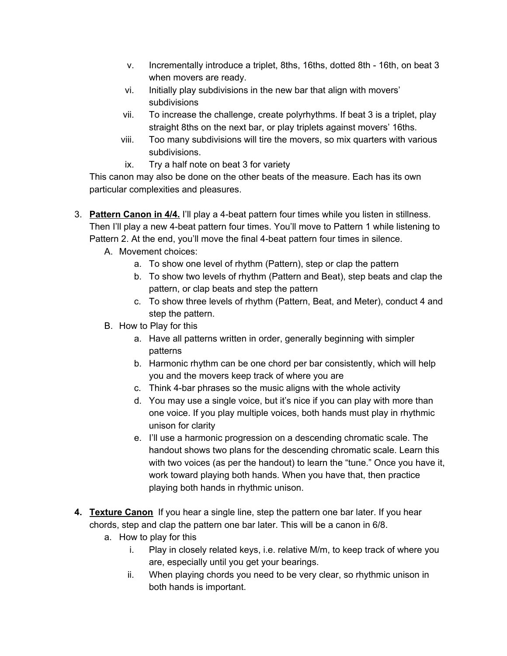- v. Incrementally introduce a triplet, 8ths, 16ths, dotted 8th 16th, on beat 3 when movers are ready.
- vi. Initially play subdivisions in the new bar that align with movers' subdivisions
- vii. To increase the challenge, create polyrhythms. If beat 3 is a triplet, play straight 8ths on the next bar, or play triplets against movers' 16ths.
- viii. Too many subdivisions will tire the movers, so mix quarters with various subdivisions.
- ix. Try a half note on beat 3 for variety

This canon may also be done on the other beats of the measure. Each has its own particular complexities and pleasures.

- 3. **Pattern Canon in 4/4.** I'll play a 4-beat pattern four times while you listen in stillness. Then I'll play a new 4-beat pattern four times. You'll move to Pattern 1 while listening to Pattern 2. At the end, you'll move the final 4-beat pattern four times in silence.
	- A. Movement choices:
		- a. To show one level of rhythm (Pattern), step or clap the pattern
		- b. To show two levels of rhythm (Pattern and Beat), step beats and clap the pattern, or clap beats and step the pattern
		- c. To show three levels of rhythm (Pattern, Beat, and Meter), conduct 4 and step the pattern.
	- B. How to Play for this
		- a. Have all patterns written in order, generally beginning with simpler patterns
		- b. Harmonic rhythm can be one chord per bar consistently, which will help you and the movers keep track of where you are
		- c. Think 4-bar phrases so the music aligns with the whole activity
		- d. You may use a single voice, but it's nice if you can play with more than one voice. If you play multiple voices, both hands must play in rhythmic unison for clarity
		- e. I'll use a harmonic progression on a descending chromatic scale. The handout shows two plans for the descending chromatic scale. Learn this with two voices (as per the handout) to learn the "tune." Once you have it, work toward playing both hands. When you have that, then practice playing both hands in rhythmic unison.
- **4. Texture Canon** If you hear a single line, step the pattern one bar later. If you hear chords, step and clap the pattern one bar later. This will be a canon in 6/8.
	- a. How to play for this
		- i. Play in closely related keys, i.e. relative M/m, to keep track of where you are, especially until you get your bearings.
		- ii. When playing chords you need to be very clear, so rhythmic unison in both hands is important.